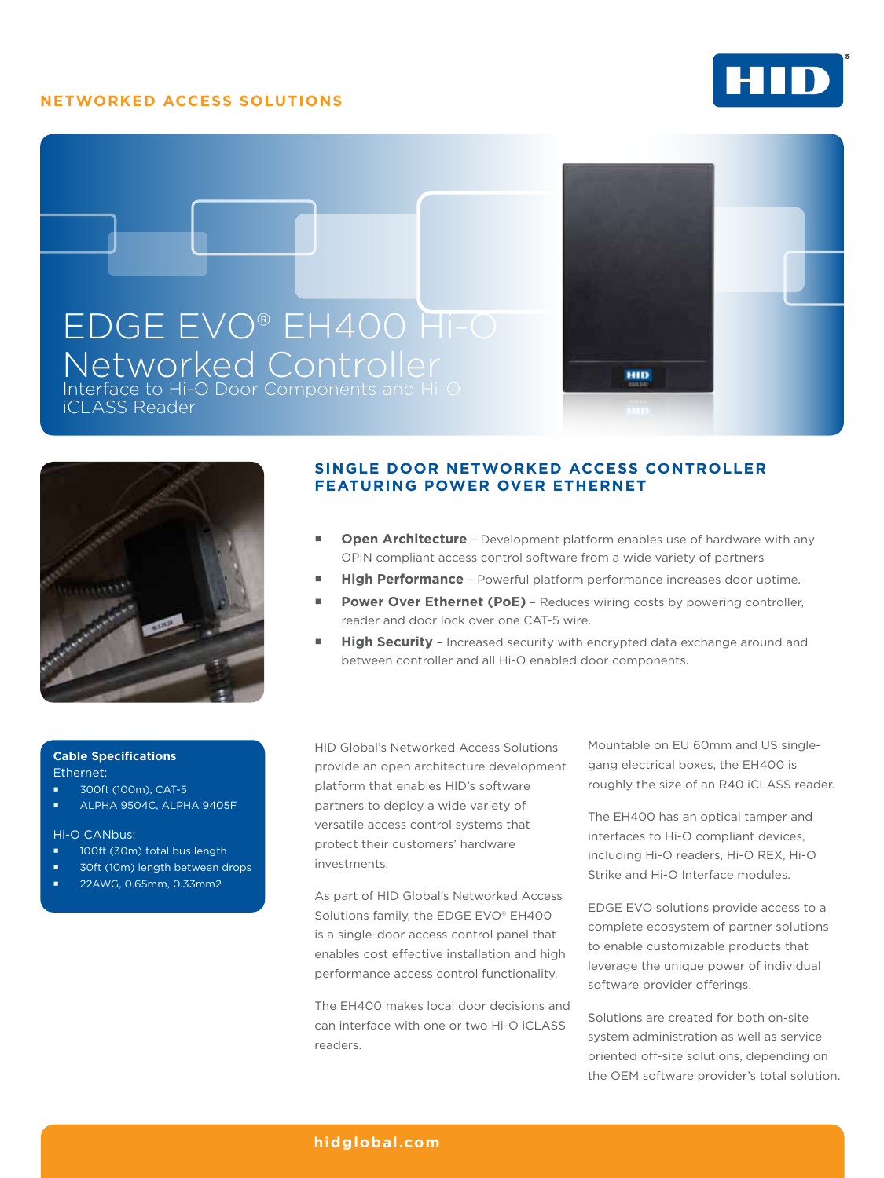## **Networked Access Solutions**







## **SINGLE DOOR NETWORKED ACCESS CONTROLLER FEATURING POWER OVER ETHERNET**

**Dpen Architecture** - Development platform enables use of hardware with any OPIN compliant access control software from a wide variety of partners

ню

- **High Performance** Powerful platform performance increases door uptime.
- Power Over Ethernet (PoE) Reduces wiring costs by powering controller, reader and door lock over one CAT-5 wire.
- **High Security** Increased security with encrypted data exchange around and between controller and all Hi-O enabled door components.

### **Cable Specifications** Ethernet:

- 300ft (100m), CAT-5
- ALPHA 9504C, ALPHA 9405F

Hi-O CANbus:

- 100ft (30m) total bus length
- 30ft (10m) length between drops
- 22AWG, 0.65mm, 0.33mm2

HID Global's Networked Access Solutions provide an open architecture development platform that enables HID's software partners to deploy a wide variety of versatile access control systems that protect their customers' hardware investments.

As part of HID Global's Networked Access Solutions family, the EDGE EVO® EH400 is a single-door access control panel that enables cost effective installation and high performance access control functionality.

The EH400 makes local door decisions and can interface with one or two Hi-O iCLASS readers.

Mountable on EU 60mm and US singlegang electrical boxes, the EH400 is roughly the size of an R40 iCLASS reader.

The EH400 has an optical tamper and interfaces to Hi-O compliant devices, including Hi-O readers, Hi-O REX, Hi-O Strike and Hi-O Interface modules.

EDGE EVO solutions provide access to a complete ecosystem of partner solutions to enable customizable products that leverage the unique power of individual software provider offerings.

Solutions are created for both on-site system administration as well as service oriented off-site solutions, depending on the OEM software provider's total solution.

## **[hidglobal.com](http://www.hidglobal.com)**